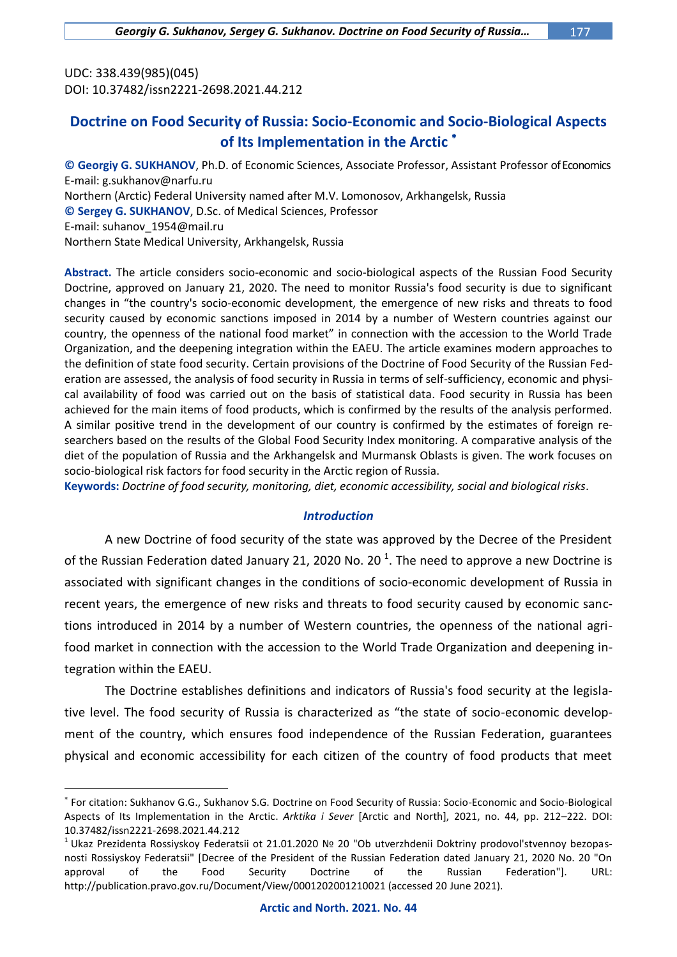UDC: 338.439(985)(045) DOI: 10.37482/issn2221-2698.2021.44.212

 $\overline{a}$ 

# **Doctrine on Food Security of Russia: Socio-Economic and Socio-Biological Aspects of Its Implementation in the Arctic**

**© Georgiy G. SUKHANOV**, Ph.D. of Economic Sciences, Associate Professor, Assistant Professor of Economics E-mail: g.sukhanov@narfu.ru Northern (Arctic) Federal University named after M.V. Lomonosov, Arkhangelsk, Russia **© Sergey G. SUKHANOV**, D.Sc. of Medical Sciences, Professor E-mail: suhanov\_1954@mail.ru Northern State Medical University, Arkhangelsk, Russia

**Abstract.** The article considers socio-economic and socio-biological aspects of the Russian Food Security Doctrine, approved on January 21, 2020. The need to monitor Russia's food security is due to significant changes in "the country's socio-economic development, the emergence of new risks and threats to food security caused by economic sanctions imposed in 2014 by a number of Western countries against our country, the openness of the national food market" in connection with the accession to the World Trade Organization, and the deepening integration within the EAEU. The article examines modern approaches to the definition of state food security. Certain provisions of the Doctrine of Food Security of the Russian Federation are assessed, the analysis of food security in Russia in terms of self-sufficiency, economic and physical availability of food was carried out on the basis of statistical data. Food security in Russia has been achieved for the main items of food products, which is confirmed by the results of the analysis performed. A similar positive trend in the development of our country is confirmed by the estimates of foreign researchers based on the results of the Global Food Security Index monitoring. A comparative analysis of the diet of the population of Russia and the Arkhangelsk and Murmansk Oblasts is given. The work focuses on socio-biological risk factors for food security in the Arctic region of Russia.

**Keywords:** *Doctrine of food security, monitoring, diet, economic accessibility, social and biological risks*.

#### *Introduction*

A new Doctrine of food security of the state was approved by the Decree of the President of the Russian Federation dated January 21, 2020 No. 20  $^1$ . The need to approve a new Doctrine is associated with significant changes in the conditions of socio-economic development of Russia in recent years, the emergence of new risks and threats to food security caused by economic sanctions introduced in 2014 by a number of Western countries, the openness of the national agrifood market in connection with the accession to the World Trade Organization and deepening integration within the EAEU.

The Doctrine establishes definitions and indicators of Russia's food security at the legislative level. The food security of Russia is characterized as "the state of socio-economic development of the country, which ensures food independence of the Russian Federation, guarantees physical and economic accessibility for each citizen of the country of food products that meet

For citation: Sukhanov G.G., Sukhanov S.G. Doctrine on Food Security of Russia: Socio-Economic and Socio-Biological Aspects of Its Implementation in the Arctic. *Arktika i Sever* [Arctic and North], 2021, no. 44, pp. 212–222. DOI: 10.37482/issn2221-2698.2021.44.212

<sup>&</sup>lt;sup>1</sup> Ukaz Prezidenta Rossiyskoy Federatsii ot 21.01.2020 № 20 "Ob utverzhdenii Doktriny prodovol'stvennoy bezopasnosti Rossiyskoy Federatsii" [Decree of the President of the Russian Federation dated January 21, 2020 No. 20 "On approval of the Food Security Doctrine of the Russian Federation"]. URL: http://publication.pravo.gov.ru/Document/View/0001202001210021 (accessed 20 June 2021).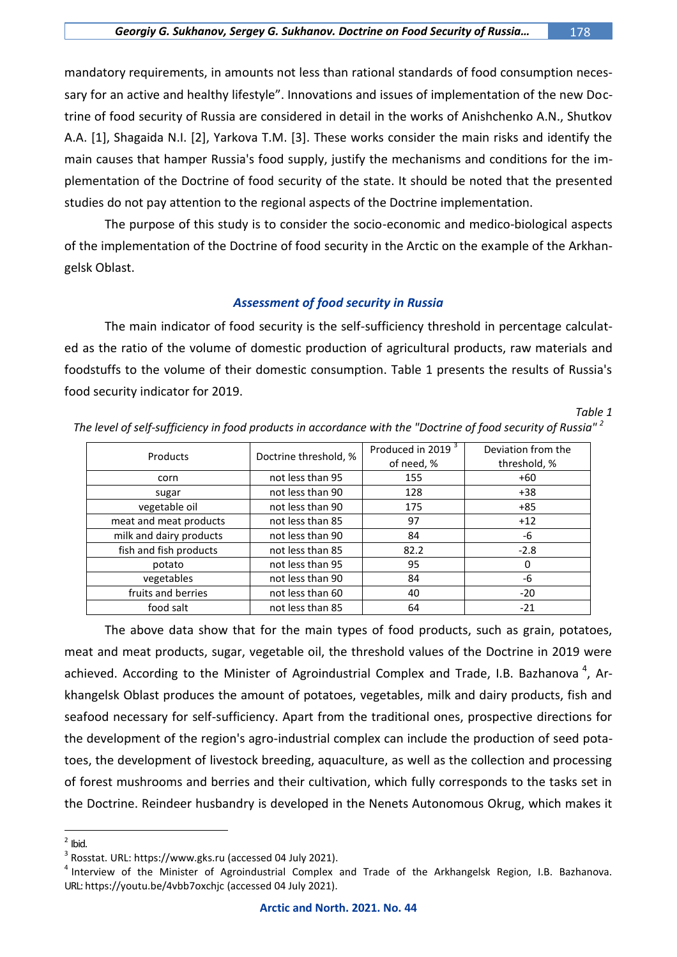mandatory requirements, in amounts not less than rational standards of food consumption necessary for an active and healthy lifestyle". Innovations and issues of implementation of the new Doctrine of food security of Russia are considered in detail in the works of Anishchenko A.N., Shutkov A.A. [1], Shagaida N.I. [2], Yarkova T.M. [3]. These works consider the main risks and identify the main causes that hamper Russia's food supply, justify the mechanisms and conditions for the implementation of the Doctrine of food security of the state. It should be noted that the presented studies do not pay attention to the regional aspects of the Doctrine implementation.

The purpose of this study is to consider the socio-economic and medico-biological aspects of the implementation of the Doctrine of food security in the Arctic on the example of the Arkhangelsk Oblast.

### *Assessment of food security in Russia*

The main indicator of food security is the self-sufficiency threshold in percentage calculated as the ratio of the volume of domestic production of agricultural products, raw materials and foodstuffs to the volume of their domestic consumption. Table 1 presents the results of Russia's food security indicator for 2019.

#### *Table 1*

| Products                | Doctrine threshold, % | Produced in 2019 | Deviation from the |
|-------------------------|-----------------------|------------------|--------------------|
|                         |                       | of need, %       | threshold, %       |
| corn                    | not less than 95      | 155              | +60                |
| sugar                   | not less than 90      | 128              | +38                |
| vegetable oil           | not less than 90      | 175              | $+85$              |
| meat and meat products  | not less than 85      | 97               | $+12$              |
| milk and dairy products | not less than 90      | 84               | -6                 |
| fish and fish products  | not less than 85      | 82.2             | $-2.8$             |
| potato                  | not less than 95      | 95               | 0                  |
| vegetables              | not less than 90      | 84               | -6                 |
| fruits and berries      | not less than 60      | 40               | $-20$              |
| food salt               | not less than 85      | 64               | $-21$              |

The level of self-sufficiency in food products in accordance with the "Doctrine of food security of Russia"<sup>2</sup>

The above data show that for the main types of food products, such as grain, potatoes, meat and meat products, sugar, vegetable oil, the threshold values of the Doctrine in 2019 were achieved. According to the Minister of Agroindustrial Complex and Trade, I.B. Bazhanova<sup>4</sup>, Arkhangelsk Oblast produces the amount of potatoes, vegetables, milk and dairy products, fish and seafood necessary for self-sufficiency. Apart from the traditional ones, prospective directions for the development of the region's agro-industrial complex can include the production of seed potatoes, the development of livestock breeding, aquaculture, as well as the collection and processing of forest mushrooms and berries and their cultivation, which fully corresponds to the tasks set in the Doctrine. Reindeer husbandry is developed in the Nenets Autonomous Okrug, which makes it

 $<sup>2</sup>$  Ibid.</sup>

<sup>&</sup>lt;sup>3</sup> Rosstat. URL: https://www.gks.ru (accessed 04 July 2021).

<sup>&</sup>lt;sup>4</sup> Interview of the Minister of Agroindustrial Complex and Trade of the Arkhangelsk Region, I.B. Bazhanova. URL: [https://youtu.be/4vbb7oxchjc](https://youtu.be/4vbb7OXchjc) (accessed 04 July 2021).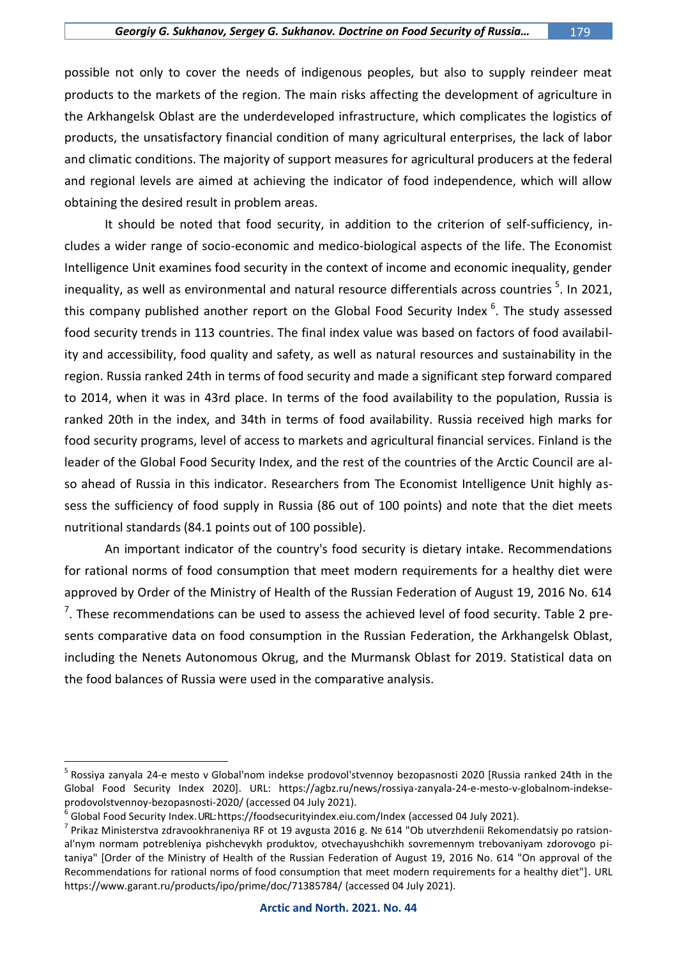possible not only to cover the needs of indigenous peoples, but also to supply reindeer meat products to the markets of the region. The main risks affecting the development of agriculture in the Arkhangelsk Oblast are the underdeveloped infrastructure, which complicates the logistics of products, the unsatisfactory financial condition of many agricultural enterprises, the lack of labor and climatic conditions. The majority of support measures for agricultural producers at the federal and regional levels are aimed at achieving the indicator of food independence, which will allow obtaining the desired result in problem areas.

It should be noted that food security, in addition to the criterion of self-sufficiency, includes a wider range of socio-economic and medico-biological aspects of the life. The Economist Intelligence Unit examines food security in the context of income and economic inequality, gender inequality, as well as environmental and natural resource differentials across countries <sup>5</sup>. In 2021, this company published another report on the Global Food Security Index <sup>6</sup>. The study assessed food security trends in 113 countries. The final index value was based on factors of food availability and accessibility, food quality and safety, as well as natural resources and sustainability in the region. Russia ranked 24th in terms of food security and made a significant step forward compared to 2014, when it was in 43rd place. In terms of the food availability to the population, Russia is ranked 20th in the index, and 34th in terms of food availability. Russia received high marks for food security programs, level of access to markets and agricultural financial services. Finland is the leader of the Global Food Security Index, and the rest of the countries of the Arctic Council are also ahead of Russia in this indicator. Researchers from The Economist Intelligence Unit highly assess the sufficiency of food supply in Russia (86 out of 100 points) and note that the diet meets nutritional standards (84.1 points out of 100 possible).

An important indicator of the country's food security is dietary intake. Recommendations for rational norms of food consumption that meet modern requirements for a healthy diet were approved by Order of the Ministry of Health of the Russian Federation of August 19, 2016 No. 614  $^7$ . These recommendations can be used to assess the achieved level of food security. Table 2 presents comparative data on food consumption in the Russian Federation, the Arkhangelsk Oblast, including the Nenets Autonomous Okrug, and the Murmansk Oblast for 2019. Statistical data on the food balances of Russia were used in the comparative analysis.

<sup>&</sup>lt;sup>5</sup> Rossiya zanyala 24-e mesto v Global'nom indekse prodovol'stvennoy bezopasnosti 2020 [Russia ranked 24th in the Global Food Security Index 2020]. URL: https://agbz.ru/news/rossiya-zanyala-24-e-mesto-v-globalnom-indekseprodovolstvennoy-bezopasnosti-2020/ (accessed 04 July 2021).

 $^6$  Global Food Security Index. URL[: https://foodsecurityindex.eiu.com/Index](https://foodsecurityindex.eiu.com/Index) (accessed 04 July 2021).

<sup>&</sup>lt;sup>7</sup> Prikaz Ministerstva zdravookhraneniya RF ot 19 avgusta 2016 g. № 614 "Ob utverzhdenii Rekomendatsiy po ratsional'nym normam potrebleniya pishchevykh produktov, otvechayushchikh sovremennym trebovaniyam zdorovogo pitaniya" [Order of the Ministry of Health of the Russian Federation of August 19, 2016 No. 614 "On approval of the Recommendations for rational norms of food consumption that meet modern requirements for a healthy diet"]. URL https://www.garant.ru/products/ipo/prime/doc/71385784/ (accessed 04 July 2021).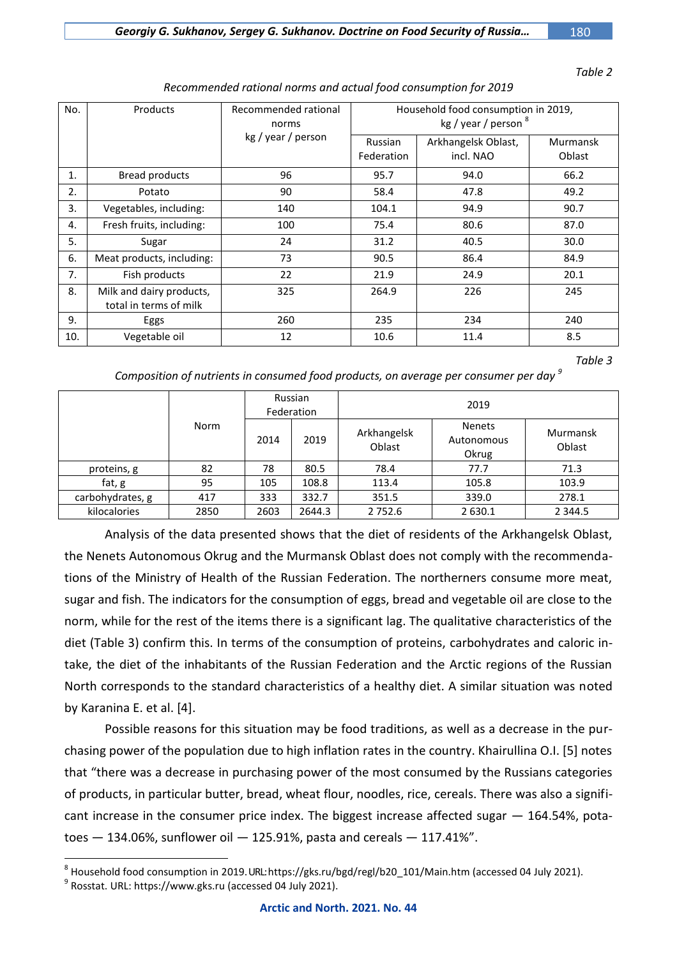*Table 2*

| No. | Products                                           | Recommended rational<br>norms<br>kg / year / person | Household food consumption in 2019,<br>kg / year / person <sup>8</sup> |                                  |                    |
|-----|----------------------------------------------------|-----------------------------------------------------|------------------------------------------------------------------------|----------------------------------|--------------------|
|     |                                                    |                                                     | Russian<br>Federation                                                  | Arkhangelsk Oblast,<br>incl. NAO | Murmansk<br>Oblast |
| 1.  | Bread products                                     | 96                                                  | 95.7                                                                   | 94.0                             | 66.2               |
| 2.  | Potato                                             | 90                                                  | 58.4                                                                   | 47.8                             | 49.2               |
| 3.  | Vegetables, including:                             | 140                                                 | 104.1                                                                  | 94.9                             | 90.7               |
| 4.  | Fresh fruits, including:                           | 100                                                 | 75.4                                                                   | 80.6                             | 87.0               |
| 5.  | Sugar                                              | 24                                                  | 31.2                                                                   | 40.5                             | 30.0               |
| 6.  | Meat products, including:                          | 73                                                  | 90.5                                                                   | 86.4                             | 84.9               |
| 7.  | Fish products                                      | 22                                                  | 21.9                                                                   | 24.9                             | 20.1               |
| 8.  | Milk and dairy products,<br>total in terms of milk | 325                                                 | 264.9                                                                  | 226                              | 245                |
| 9.  | Eggs                                               | 260                                                 | 235                                                                    | 234                              | 240                |
| 10. | Vegetable oil                                      | 12                                                  | 10.6                                                                   | 11.4                             | 8.5                |

*Recommended rational norms and actual food consumption for 2019*

*Table 3*

*Composition of nutrients in consumed food products, on average per consumer per day <sup>9</sup>*

|                  | Norm | Russian<br>Federation |        | 2019                  |                                      |                    |
|------------------|------|-----------------------|--------|-----------------------|--------------------------------------|--------------------|
|                  |      | 2014                  | 2019   | Arkhangelsk<br>Oblast | <b>Nenets</b><br>Autonomous<br>Okrug | Murmansk<br>Oblast |
| proteins, g      | 82   | 78                    | 80.5   | 78.4                  | 77.7                                 | 71.3               |
| fat, g           | 95   | 105                   | 108.8  | 113.4                 | 105.8                                | 103.9              |
| carbohydrates, g | 417  | 333                   | 332.7  | 351.5                 | 339.0                                | 278.1              |
| kilocalories     | 2850 | 2603                  | 2644.3 | 2 7 5 2 .6            | 2 630.1                              | 2 3 4 4 .5         |

Analysis of the data presented shows that the diet of residents of the Arkhangelsk Oblast, the Nenets Autonomous Okrug and the Murmansk Oblast does not comply with the recommendations of the Ministry of Health of the Russian Federation. The northerners consume more meat, sugar and fish. The indicators for the consumption of eggs, bread and vegetable oil are close to the norm, while for the rest of the items there is a significant lag. The qualitative characteristics of the diet (Table 3) confirm this. In terms of the consumption of proteins, carbohydrates and caloric intake, the diet of the inhabitants of the Russian Federation and the Arctic regions of the Russian North corresponds to the standard characteristics of a healthy diet. A similar situation was noted by Karanina E. et al. [4].

Possible reasons for this situation may be food traditions, as well as a decrease in the purchasing power of the population due to high inflation rates in the country. Khairullina O.I. [5] notes that "there was a decrease in purchasing power of the most consumed by the Russians categories of products, in particular butter, bread, wheat flour, noodles, rice, cereals. There was also a significant increase in the consumer price index. The biggest increase affected sugar  $-$  164.54%, potatoes — 134.06%, sunflower oil — 125.91%, pasta and cereals — 117.41%".

 $^8$  Household food consumption in 2019. URL: https://gks.ru/bgd/regl/b20\_101/Main.htm (accessed 04 July 2021).

<sup>&</sup>lt;sup>9</sup> Rosstat. URL: https://www.gks.ru (accessed 04 July 2021).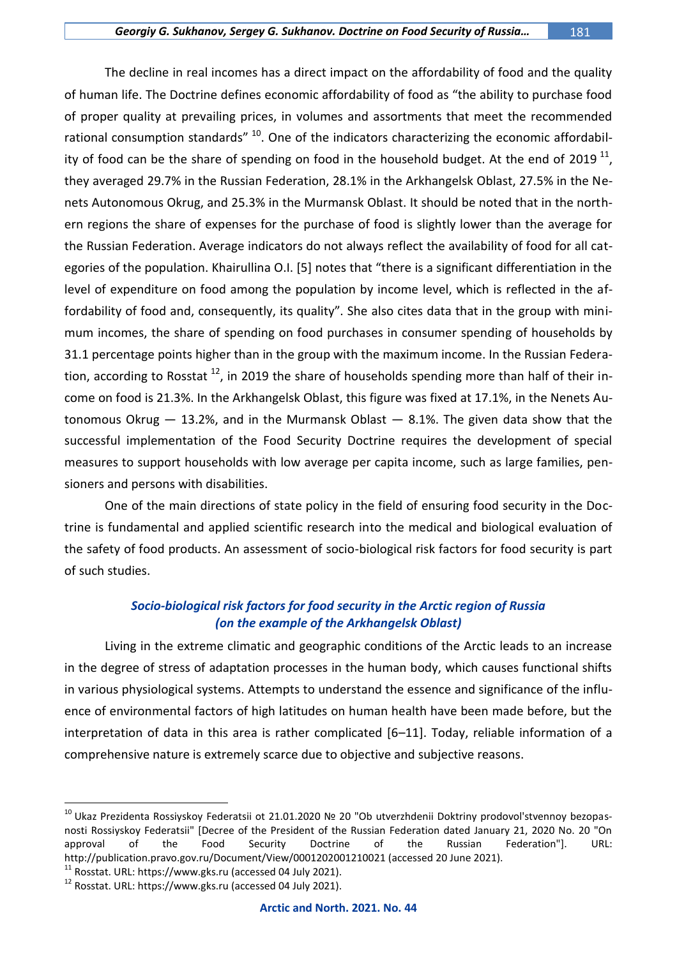The decline in real incomes has a direct impact on the affordability of food and the quality of human life. The Doctrine defines economic affordability of food as "the ability to purchase food of proper quality at prevailing prices, in volumes and assortments that meet the recommended rational consumption standards" <sup>10</sup>. One of the indicators characterizing the economic affordability of food can be the share of spending on food in the household budget. At the end of 2019  $^{11}$ , they averaged 29.7% in the Russian Federation, 28.1% in the Arkhangelsk Oblast, 27.5% in the Nenets Autonomous Okrug, and 25.3% in the Murmansk Oblast. It should be noted that in the northern regions the share of expenses for the purchase of food is slightly lower than the average for the Russian Federation. Average indicators do not always reflect the availability of food for all categories of the population. Khairullina O.I. [5] notes that "there is a significant differentiation in the level of expenditure on food among the population by income level, which is reflected in the affordability of food and, consequently, its quality". She also cites data that in the group with minimum incomes, the share of spending on food purchases in consumer spending of households by 31.1 percentage points higher than in the group with the maximum income. In the Russian Federation, according to Rosstat  $^{12}$ , in 2019 the share of households spending more than half of their income on food is 21.3%. In the Arkhangelsk Oblast, this figure was fixed at 17.1%, in the Nenets Autonomous Okrug  $-$  13.2%, and in the Murmansk Oblast  $-$  8.1%. The given data show that the successful implementation of the Food Security Doctrine requires the development of special measures to support households with low average per capita income, such as large families, pensioners and persons with disabilities.

One of the main directions of state policy in the field of ensuring food security in the Doctrine is fundamental and applied scientific research into the medical and biological evaluation of the safety of food products. An assessment of socio-biological risk factors for food security is part of such studies.

## *Socio-biological risk factors for food security in the Arctic region of Russia (on the example of the Arkhangelsk Oblast)*

Living in the extreme climatic and geographic conditions of the Arctic leads to an increase in the degree of stress of adaptation processes in the human body, which causes functional shifts in various physiological systems. Attempts to understand the essence and significance of the influence of environmental factors of high latitudes on human health have been made before, but the interpretation of data in this area is rather complicated [6–11]. Today, reliable information of a comprehensive nature is extremely scarce due to objective and subjective reasons.

<sup>&</sup>lt;sup>10</sup> Ukaz Prezidenta Rossiyskoy Federatsii ot 21.01.2020 № 20 "Ob utverzhdenii Doktriny prodovol'stvennoy bezopasnosti Rossiyskoy Federatsii" [Decree of the President of the Russian Federation dated January 21, 2020 No. 20 "On approval of the Food Security Doctrine of the Russian Federation"]. URL: http://publication.pravo.gov.ru/Document/View/0001202001210021 (accessed 20 June 2021).

<sup>&</sup>lt;sup>11</sup> Rosstat. URL: https://www.gks.ru (accessed 04 July 2021).

<sup>&</sup>lt;sup>12</sup> Rosstat. URL: https://www.gks.ru (accessed 04 July 2021).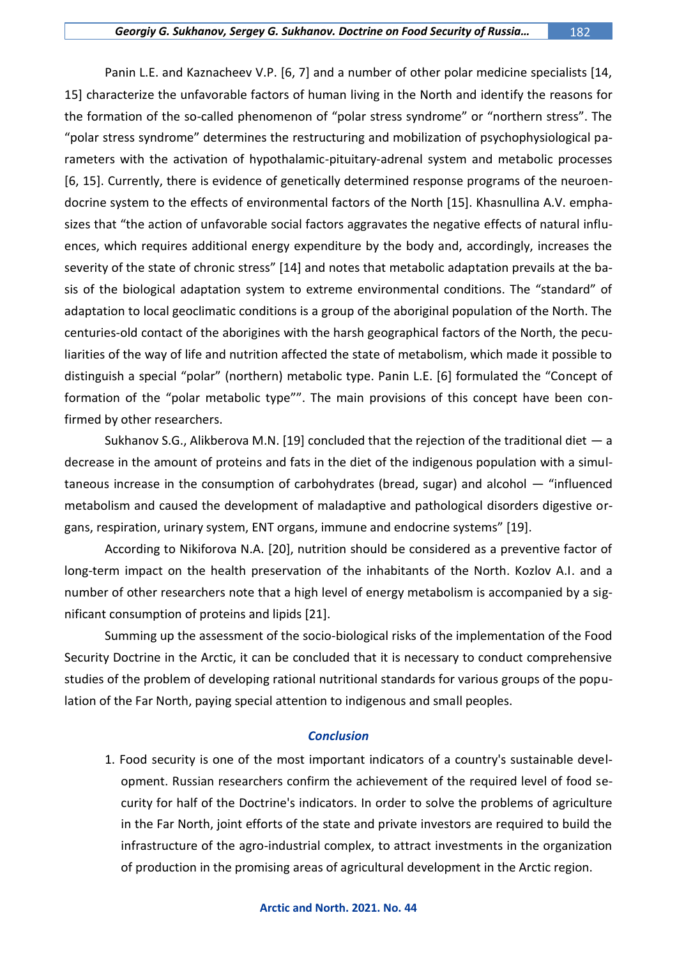Panin L.E. and Kaznacheev V.P. [6, 7] and a number of other polar medicine specialists [14, 15] characterize the unfavorable factors of human living in the North and identify the reasons for the formation of the so-called phenomenon of "polar stress syndrome" or "northern stress". The "polar stress syndrome" determines the restructuring and mobilization of psychophysiological parameters with the activation of hypothalamic-pituitary-adrenal system and metabolic processes [6, 15]. Currently, there is evidence of genetically determined response programs of the neuroendocrine system to the effects of environmental factors of the North [15]. Khasnullina A.V. emphasizes that "the action of unfavorable social factors aggravates the negative effects of natural influences, which requires additional energy expenditure by the body and, accordingly, increases the severity of the state of chronic stress" [14] and notes that metabolic adaptation prevails at the basis of the biological adaptation system to extreme environmental conditions. The "standard" of adaptation to local geoclimatic conditions is a group of the aboriginal population of the North. The centuries-old contact of the aborigines with the harsh geographical factors of the North, the peculiarities of the way of life and nutrition affected the state of metabolism, which made it possible to distinguish a special "polar" (northern) metabolic type. Panin L.E. [6] formulated the "Concept of formation of the "polar metabolic type"". The main provisions of this concept have been confirmed by other researchers.

Sukhanov S.G., Alikberova M.N. [19] concluded that the rejection of the traditional diet  $-$  a decrease in the amount of proteins and fats in the diet of the indigenous population with a simultaneous increase in the consumption of carbohydrates (bread, sugar) and alcohol — "influenced metabolism and caused the development of maladaptive and pathological disorders digestive organs, respiration, urinary system, ENT organs, immune and endocrine systems" [19].

According to Nikiforova N.A. [20], nutrition should be considered as a preventive factor of long-term impact on the health preservation of the inhabitants of the North. Kozlov A.I. and a number of other researchers note that a high level of energy metabolism is accompanied by a significant consumption of proteins and lipids [21].

Summing up the assessment of the socio-biological risks of the implementation of the Food Security Doctrine in the Arctic, it can be concluded that it is necessary to conduct comprehensive studies of the problem of developing rational nutritional standards for various groups of the population of the Far North, paying special attention to indigenous and small peoples.

#### *Conclusion*

1. Food security is one of the most important indicators of a country's sustainable development. Russian researchers confirm the achievement of the required level of food security for half of the Doctrine's indicators. In order to solve the problems of agriculture in the Far North, joint efforts of the state and private investors are required to build the infrastructure of the agro-industrial complex, to attract investments in the organization of production in the promising areas of agricultural development in the Arctic region.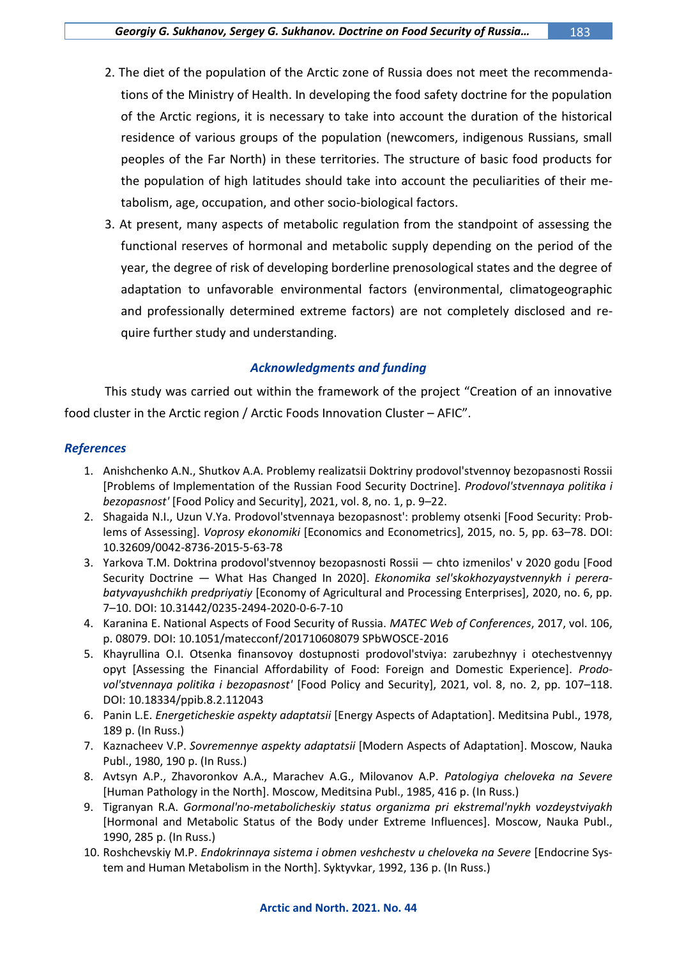- 2. The diet of the population of the Arctic zone of Russia does not meet the recommendations of the Ministry of Health. In developing the food safety doctrine for the population of the Arctic regions, it is necessary to take into account the duration of the historical residence of various groups of the population (newcomers, indigenous Russians, small peoples of the Far North) in these territories. The structure of basic food products for the population of high latitudes should take into account the peculiarities of their metabolism, age, occupation, and other socio-biological factors.
- 3. At present, many aspects of metabolic regulation from the standpoint of assessing the functional reserves of hormonal and metabolic supply depending on the period of the year, the degree of risk of developing borderline prenosological states and the degree of adaptation to unfavorable environmental factors (environmental, climatogeographic and professionally determined extreme factors) are not completely disclosed and require further study and understanding.

## *Acknowledgments and funding*

This study was carried out within the framework of the project "Creation of an innovative food cluster in the Arctic region / Arctic Foods Innovation Cluster – AFIC".

## *References*

- 1. Anishchenko A.N., Shutkov A.A. Problemy realizatsii Doktriny prodovol'stvennoy bezopasnosti Rossii [Problems of Implementation of the Russian Food Security Doctrine]. *Prodovol'stvennaya politika i bezopasnost'* [Food Policy and Security], 2021, vol. 8, no. 1, p. 9–22.
- 2. Shagaida N.I., Uzun V.Ya. Prodovol'stvennaya bezopasnost': problemy otsenki [Food Security: Problems of Assessing]. *Voprosy ekonomiki* [Economics and Econometrics], 2015, no. 5, pp. 63–78. DOI: 10.32609/0042-8736-2015-5-63-78
- 3. Yarkova T.M. Doktrina prodovol'stvennoy bezopasnosti Rossii chto izmenilos' v 2020 godu [Food Security Doctrine — What Has Changed In 2020]. *Ekonomika sel'skokhozyaystvennykh i pererabatyvayushchikh predpriyatiy* [Economy of Agricultural and Processing Enterprises], 2020, no. 6, pp. 7–10. DOI: 10.31442/0235-2494-2020-0-6-7-10
- 4. Karanina E. National Aspects of Food Security of Russia. *MATEC Web of Conferences*, 2017, vol. 106, p. 08079. DOI: 10.1051/matecconf/201710608079 SPbWOSCE-2016
- 5. Khayrullina O.I. Otsenka finansovoy dostupnosti prodovol'stviya: zarubezhnyy i otechestvennyy opyt [Assessing the Financial Affordability of Food: Foreign and Domestic Experience]. *Prodovol'stvennaya politika i bezopasnost'* [Food Policy and Security], 2021, vol. 8, no. 2, pp. 107–118. DOI: [10.18334/ppib.8.2.112043](http://doi.org/10.18334/ppib.8.2.112043)
- 6. Panin L.E. *Energeticheskie aspekty adaptatsii* [Energy Aspects of Adaptation]. Meditsina Publ., 1978, 189 p. (In Russ.)
- 7. Kaznacheev V.P. *Sovremennye aspekty adaptatsii* [Modern Aspects of Adaptation]. Moscow, Nauka Publ., 1980, 190 p. (In Russ.)
- 8. Avtsyn A.P., Zhavoronkov A.A., Marachev A.G., Milovanov A.P. *Patologiya cheloveka na Severe*  [Human Pathology in the North]. Moscow, Meditsina Publ., 1985, 416 p. (In Russ.)
- 9. Tigranyan R.A. *Gormonal'no-metabolicheskiy status organizma pri ekstremal'nykh vozdeystviyakh* [Hormonal and Metabolic Status of the Body under Extreme Influences]. Moscow, Nauka Publ., 1990, 285 p. (In Russ.)
- 10. Roshchevskiy M.P. *Endokrinnaya sistema i obmen veshchestv u cheloveka na Severe* [Endocrine System and Human Metabolism in the North]. Syktyvkar, 1992, 136 p. (In Russ.)